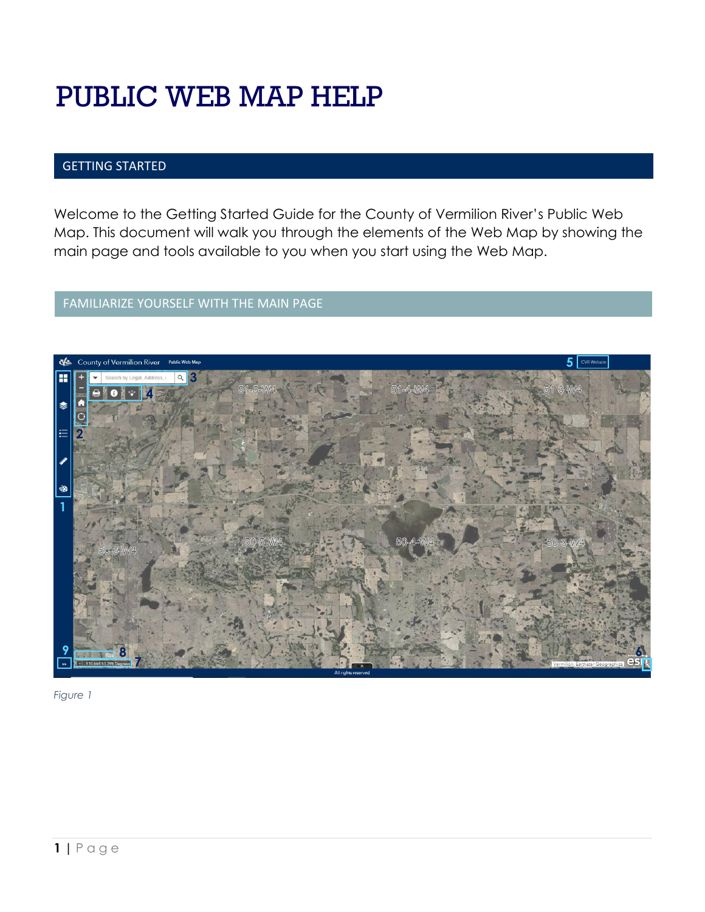# PUBLIC WEB MAP HELP

# GETTING STARTED

Welcome to the Getting Started Guide for the County of Vermilion River's Public Web Map. This document will walk you through the elements of the Web Map by showing the main page and tools available to you when you start using the Web Map.

# FAMILIARIZE YOURSELF WITH THE MAIN PAGE

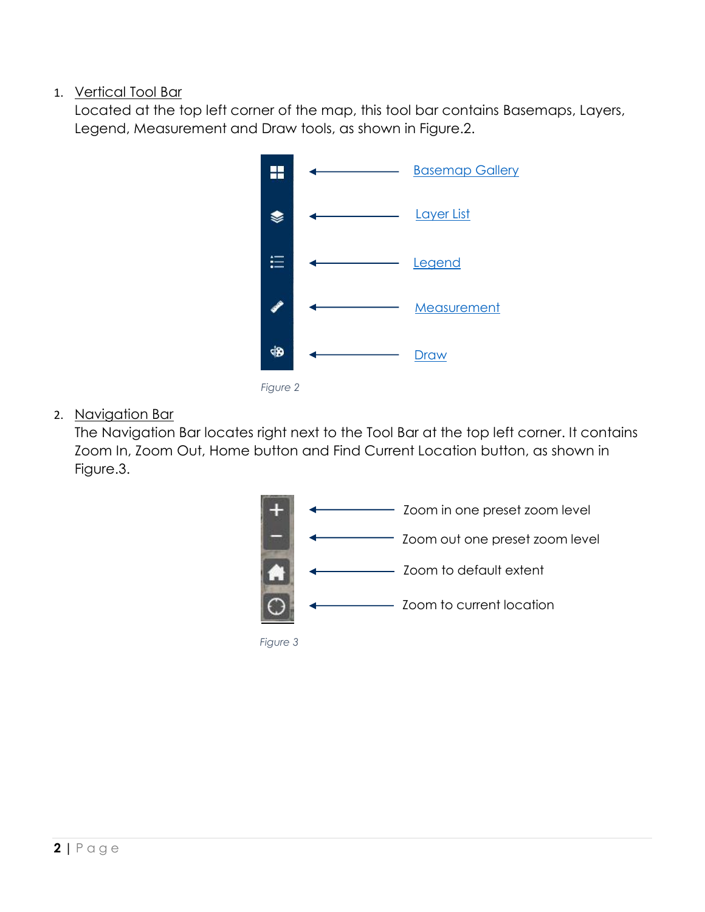# 1. Vertical Tool Bar

Located at the top left corner of the map, this tool bar contains Basemaps, Layers, Legend, Measurement and Draw tools, as shown in Figure.2.



*Figure 2*

2. Navigation Bar

The Navigation Bar locates right next to the Tool Bar at the top left corner. It contains Zoom In, Zoom Out, Home button and Find Current Location button, as shown in Figure.3.

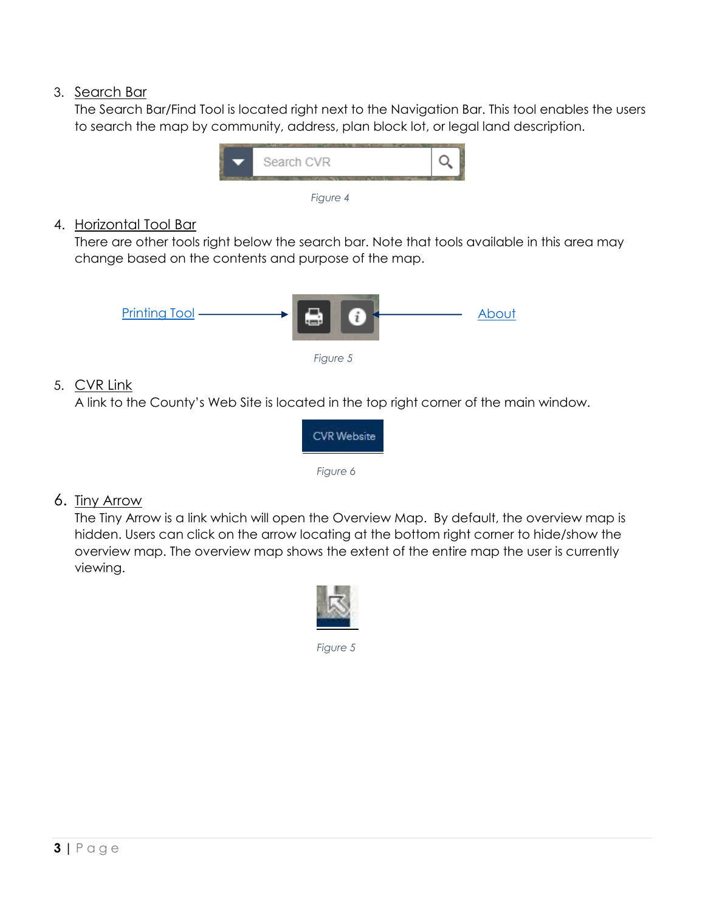# 3. Search Bar

The Search Bar/Find Tool is located right next to the Navigation Bar. This tool enables the users to search the map by community, address, plan block lot, or legal land description.



# 4. Horizontal Tool Bar

There are other tools right below the search bar. Note that tools available in this area may change based on the contents and purpose of the map.



# 5. CVR Link

A link to the County's Web Site is located in the top right corner of the main window.



# 6. Tiny Arrow

The Tiny Arrow is a link which will open the Overview Map. By default, the overview map is hidden. Users can click on the arrow locating at the bottom right corner to hide/show the overview map. The overview map shows the extent of the entire map the user is currently viewing.

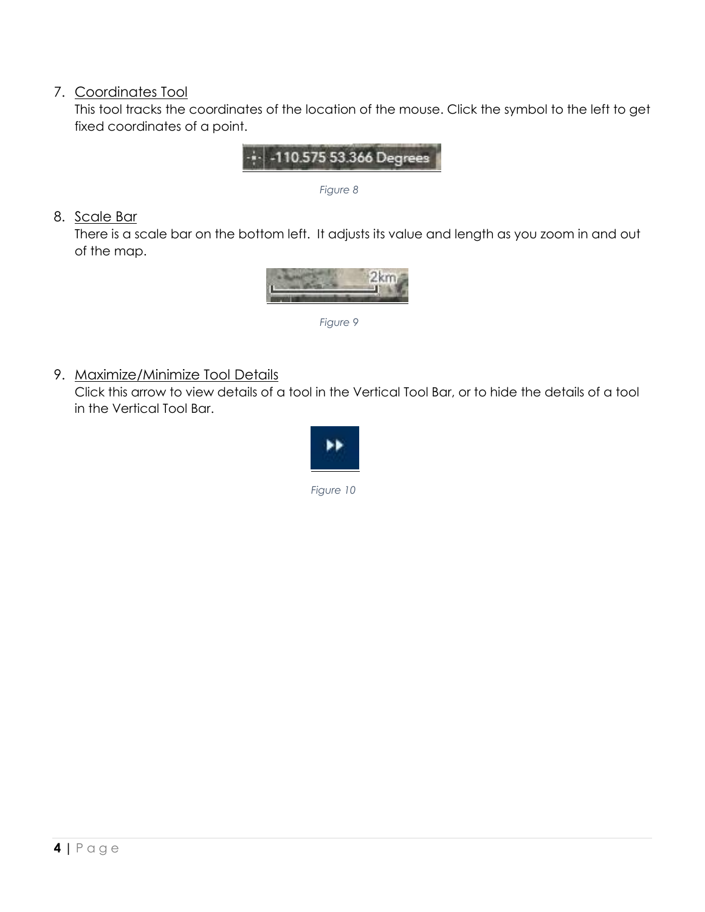# 7. Coordinates Tool

This tool tracks the coordinates of the location of the mouse. Click the symbol to the left to get fixed coordinates of a point.



 *Figure 8*

# 8. Scale Bar

There is a scale bar on the bottom left. It adjusts its value and length as you zoom in and out of the map.



 *Figure 9*

9. Maximize/Minimize Tool Details

Click this arrow to view details of a tool in the Vertical Tool Bar, or to hide the details of a tool in the Vertical Tool Bar.

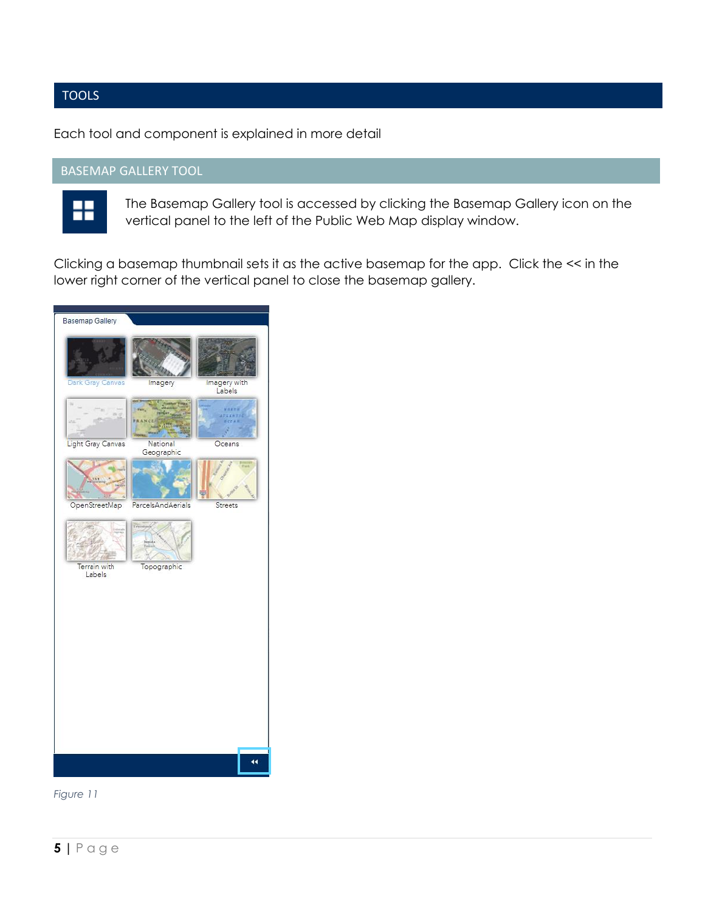# TOOLS

Each tool and component is explained in more detail

# BASEMAP GALLERY TOOL



<span id="page-4-0"></span>The Basemap Gallery tool is accessed by clicking the Basemap Gallery icon on the vertical panel to the left of the Public Web Map display window.

Clicking a basemap thumbnail sets it as the active basemap for the app. Click the << in the lower right corner of the vertical panel to close the basemap gallery.

| <b>Basemap Gallery</b> |                        |                               |
|------------------------|------------------------|-------------------------------|
|                        |                        |                               |
| Dark Gray Canvas       | Imagery                | Imagery with<br>Labels        |
|                        |                        | <b>Witness</b><br><b>ANTI</b> |
| Light Gray Canvas      | National<br>Geographic | Oceans                        |
|                        |                        |                               |
| OpenStreetMap          | ParcelsAndAerials      | Streets                       |
|                        |                        |                               |
| Terrain with<br>Labels | Topographic            |                               |
|                        |                        |                               |
|                        |                        |                               |
|                        |                        |                               |
|                        |                        |                               |
|                        |                        | 44                            |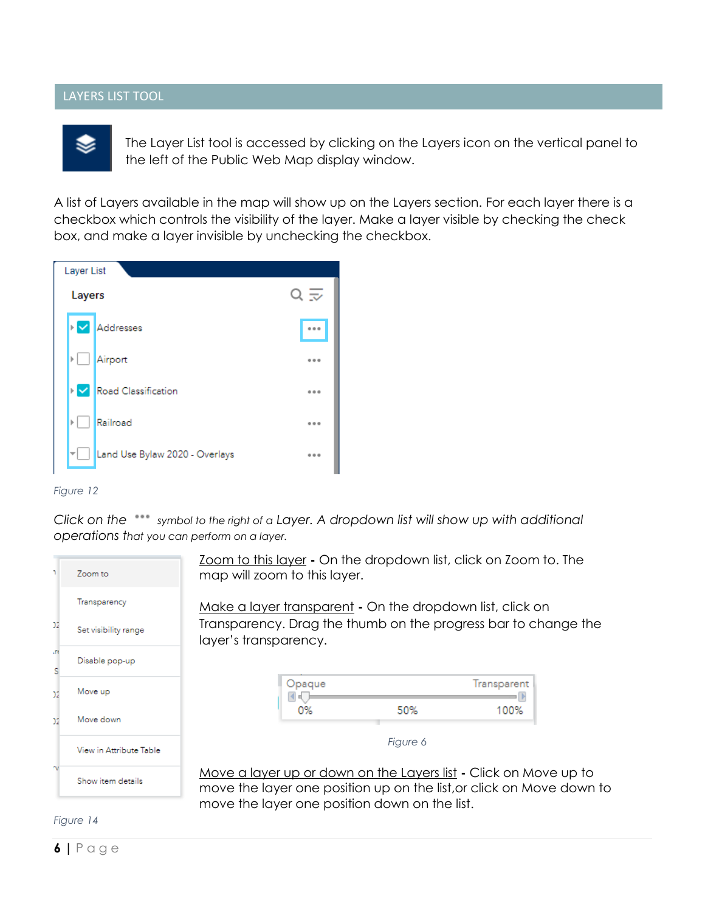#### LAYERS LIST TOOL



<span id="page-5-0"></span>The Layer List tool is accessed by clicking on the Layers icon on the vertical panel to the left of the Public Web Map display window.

A list of Layers available in the map will show up on the Layers section. For each layer there is a checkbox which controls the visibility of the layer. Make a layer visible by checking the check box, and make a layer invisible by unchecking the checkbox.

| Layer List |                                |         |
|------------|--------------------------------|---------|
| Layers     |                                | ≂       |
| ⋝          | Addresses                      |         |
|            | Airport                        |         |
|            | Road Classification            | $-0.0$  |
| ь          | Railroad                       | 0.0.0   |
|            | Land Use Bylaw 2020 - Overlays | $- - -$ |



*Click on the symbol to the right of a Layer. A dropdown list will show up with additional operations that you can perform on a layer.* 

| ٦       | Zoom to                 |
|---------|-------------------------|
|         | Transparency            |
| 12      | Set visibility range    |
| ιn<br>Ś | Disable pop-up          |
| 12      | Move up                 |
| 12      | Move down               |
|         | View in Attribute Table |
|         | Show item details       |

Zoom to this layer **-** On the dropdown list, click on Zoom to. The map will zoom to this layer.

Make a layer transparent **-** On the dropdown list, click on Transparency. Drag the thumb on the progress bar to change the layer's transparency.

| Opaque |     | Transparent |
|--------|-----|-------------|
|        | 50% | 100%        |

*Figure 6*

Move a layer up or down on the Layers list **-** Click on Move up to move the layer one position up on the list,or click on Move down to move the layer one position down on the list.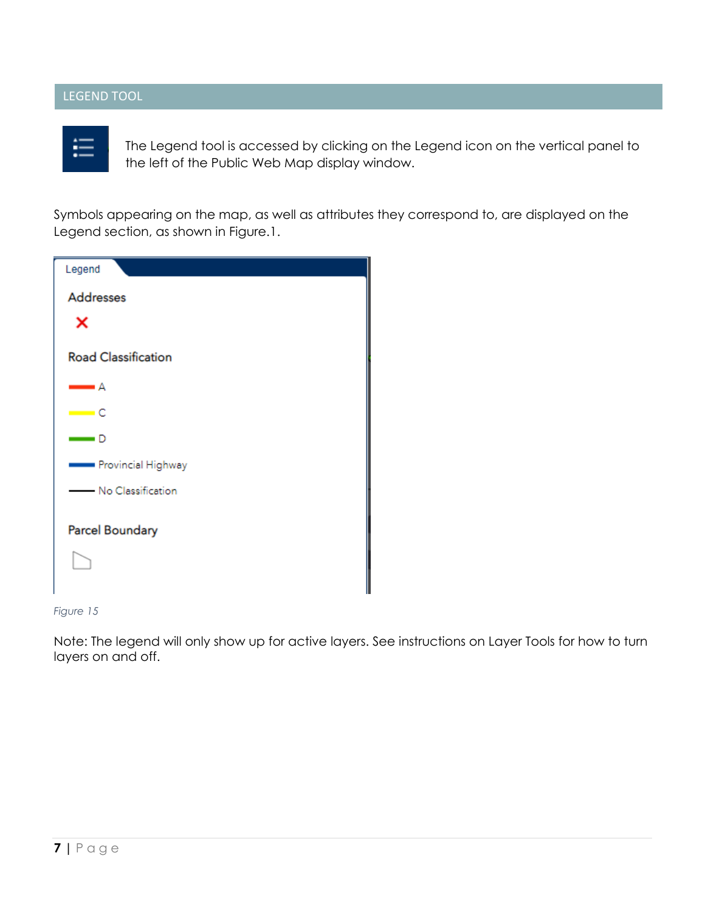# LEGEND TOOL



<span id="page-6-0"></span>The Legend tool is accessed by clicking on the Legend icon on the vertical panel to the left of the Public Web Map display window.

Symbols appearing on the map, as well as attributes they correspond to, are displayed on the Legend section, as shown in Figure.1.

| Legend                       |
|------------------------------|
| <b>Addresses</b>             |
| ×                            |
| <b>Road Classification</b>   |
| — A                          |
| $\equiv$ C                   |
| $\qquad \qquad \blacksquare$ |
| Provincial Highway           |
| - No Classification          |
| Parcel Boundary              |
|                              |

*Figure 15*

Note: The legend will only show up for active layers. See instructions on Layer Tools for how to turn layers on and off.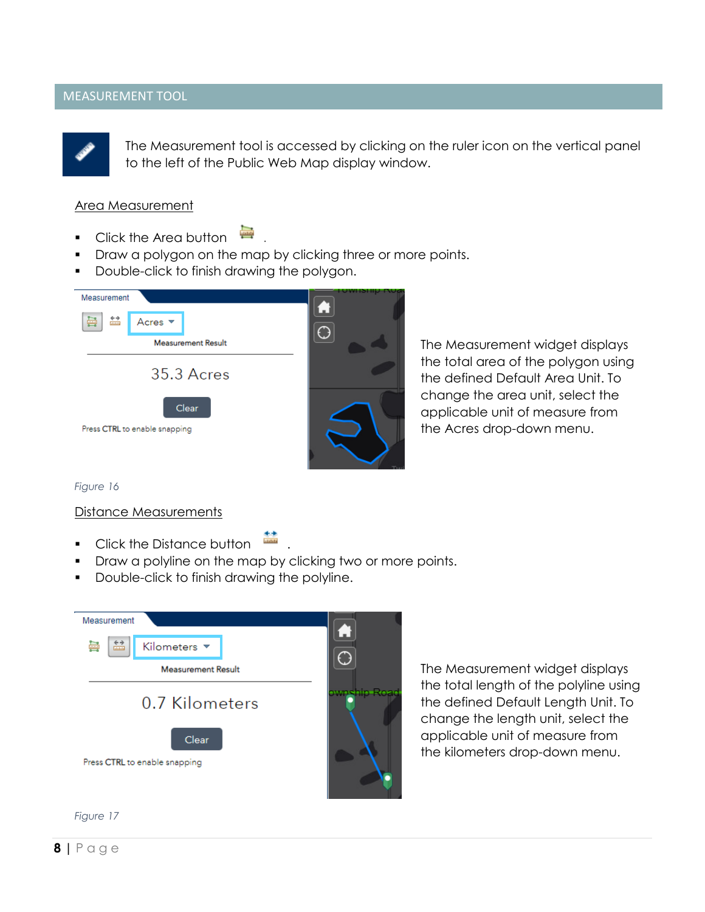#### MEASUREMENT TOOL



<span id="page-7-0"></span>The Measurement tool is accessed by clicking on the ruler icon on the vertical panel to the left of the Public Web Map display window.

#### Area Measurement

- Click the Area button  $\qquad \qquad \blacksquare$
- Draw a polygon on the map by clicking three or more points.
- Double-click to finish drawing the polygon.

| Measurement<br>$\xrightarrow{\leftarrow}$<br>噕<br>Acres $\blacktriangledown$<br><b>Measurement Result</b> |  |
|-----------------------------------------------------------------------------------------------------------|--|
| 35.3 Acres                                                                                                |  |
| Clear<br>Press CTRL to enable snapping                                                                    |  |

The Measurement widget displays the total area of the polygon using the defined Default Area Unit. To change the area unit, select the applicable unit of measure from the Acres drop-down menu.

*Figure 16*

#### Distance Measurements

- Click the Distance button .
- Draw a polyline on the map by clicking two or more points.
- Double-click to finish drawing the polyline.



The Measurement widget displays the total length of the polyline using the defined Default Length Unit. To change the length unit, select the applicable unit of measure from the kilometers drop-down menu.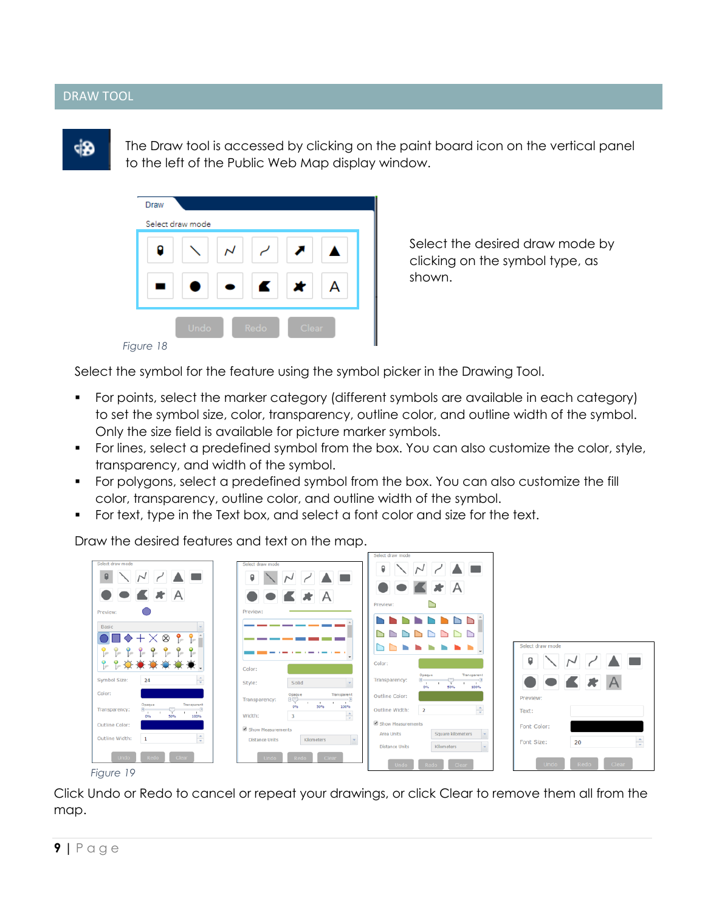#### DRAW TOOL



<span id="page-8-0"></span>The Draw tool is accessed by clicking on the paint board icon on the vertical panel to the left of the Public Web Map display window.

| <b>Draw</b><br>Select draw mode |      |       |  |
|---------------------------------|------|-------|--|
|                                 |      |       |  |
|                                 | K    | ×     |  |
| Undo                            | Redo | Clear |  |

Select the desired draw mode by clicking on the symbol type, as shown.

*Figure 18*

Select the symbol for the feature using the symbol picker in the Drawing Tool.

- For points, select the marker category (different symbols are available in each category) to set the symbol size, color, transparency, outline color, and outline width of the symbol. Only the size field is available for picture marker symbols.
- For lines, select a predefined symbol from the box. You can also customize the color, style, transparency, and width of the symbol.
- For polygons, select a predefined symbol from the box. You can also customize the fill color, transparency, outline color, and outline width of the symbol.
- For text, type in the Text box, and select a font color and size for the text.

Draw the desired features and text on the map.



*Figure 19*

Click Undo or Redo to cancel or repeat your drawings, or click Clear to remove them all from the map.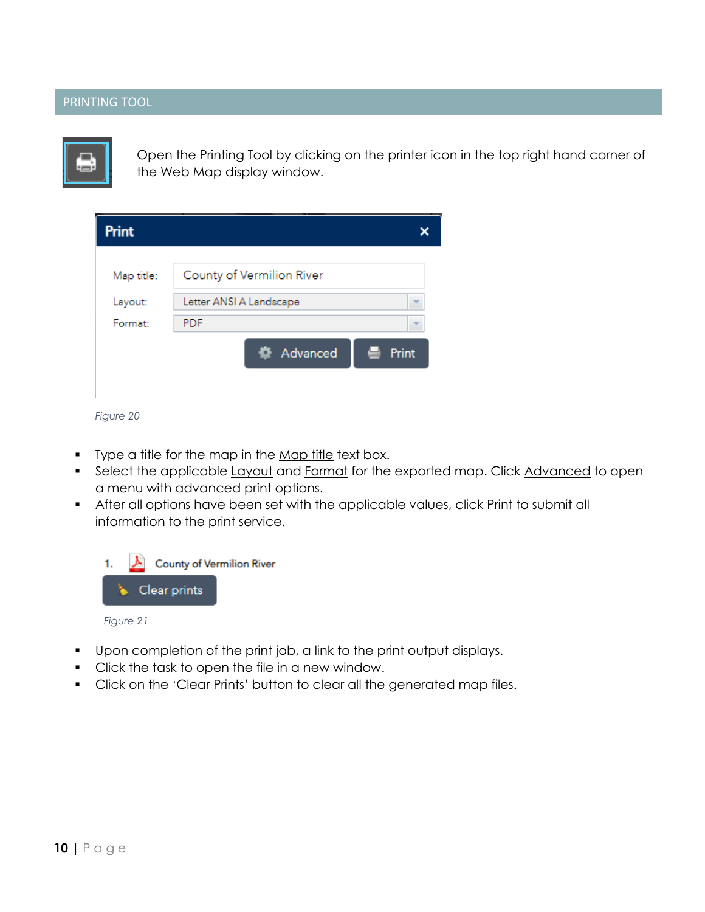# PRINTING TOOL



<span id="page-9-0"></span>Open the Printing Tool by clicking on the printer icon in the top right hand corner of the Web Map display window.

| Print      |                              |       |  |
|------------|------------------------------|-------|--|
| Map title: | County of Vermilion River    |       |  |
| Layout:    | Letter ANSI A Landscape<br>₩ |       |  |
| Format:    | <b>PDF</b>                   |       |  |
|            | Advanced                     | Print |  |
|            |                              |       |  |

- Type a title for the map in the Map title text box.
- Select the applicable Layout and Format for the exported map. Click Advanced to open a menu with advanced print options.
- After all options have been set with the applicable values, click Print to submit all information to the print service.



- Upon completion of the print job, a link to the print output displays.
- Click the task to open the file in a new window.
- Click on the 'Clear Prints' button to clear all the generated map files.